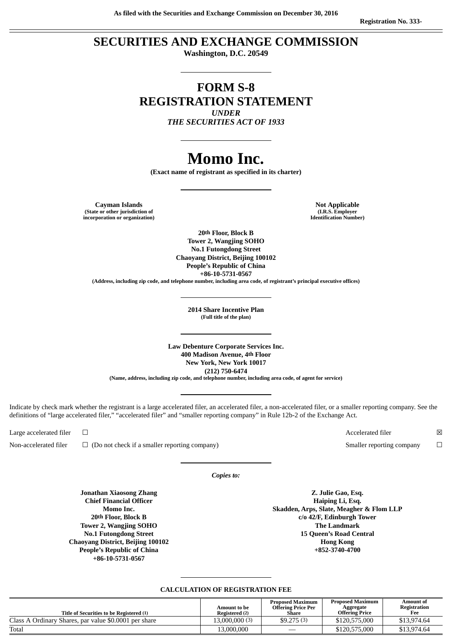**As filed with the Securities and Exchange Commission on December 30, 2016**

# **SECURITIES AND EXCHANGE COMMISSION**

**Washington, D.C. 20549**

# **FORM S-8 REGISTRATION STATEMENT** *UNDER*

*THE SECURITIES ACT OF 1933*

# **Momo Inc.**

**(Exact name of registrant as specified in its charter)**

**Cayman Islands Note Applicable (State or other jurisdiction of incorporation or organization)**

**(I.R.S. Employer**

**20th Floor, Block B Tower 2, Wangjing SOHO No.1 Futongdong Street Chaoyang District, Beijing 100102 People's Republic of China +86-10-5731-0567**

**(Address, including zip code, and telephone number, including area code, of registrant's principal executive offices)**

**2014 Share Incentive Plan (Full title of the plan)**

**Law Debenture Corporate Services Inc. 400 Madison Avenue, 4th Floor New York, New York 10017 (212) 750-6474 (Name, address, including zip code, and telephone number, including area code, of agent for service)**

Indicate by check mark whether the registrant is a large accelerated filer, an accelerated filer, a non-accelerated filer, or a smaller reporting company. See the definitions of "large accelerated filer," "accelerated filer" and "smaller reporting company" in Rule 12b-2 of the Exchange Act.

Non-accelerated filer □ (Do not check if a smaller reporting company) Smaller reporting company □

*Copies to:*

**Jonathan Xiaosong Zhang Chief Financial Officer Momo Inc. 20th Floor, Block B Tower 2, Wangjing SOHO No.1 Futongdong Street Chaoyang District, Beijing 100102 People's Republic of China +86-10-5731-0567**

**Z. Julie Gao, Esq. Haiping Li, Esq. Skadden, Arps, Slate, Meagher & Flom LLP c/o 42/F, Edinburgh Tower The Landmark 15 Queen's Road Central Hong Kong +852-3740-4700**

# **CALCULATION OF REGISTRATION FEE**

| Title of Securities to be Registered (1)              | Amount to be<br>Registered (2) | <b>Proposed Maximum</b><br><b>Offering Price Per</b><br>Share | <b>Proposed Maximum</b><br>Aggregate<br>Offering Price | Amount of<br>Registration<br>Fee |
|-------------------------------------------------------|--------------------------------|---------------------------------------------------------------|--------------------------------------------------------|----------------------------------|
| Class A Ordinary Shares, par value \$0.0001 per share | 13,000,000 (3)                 | \$9.275(3)                                                    | \$120,575,000                                          | \$13,974.64                      |
| Total                                                 | 13.000.000                     |                                                               | \$120,575,000                                          | \$13,974.64                      |

**Identification Number)**

Large accelerated filer □  $□$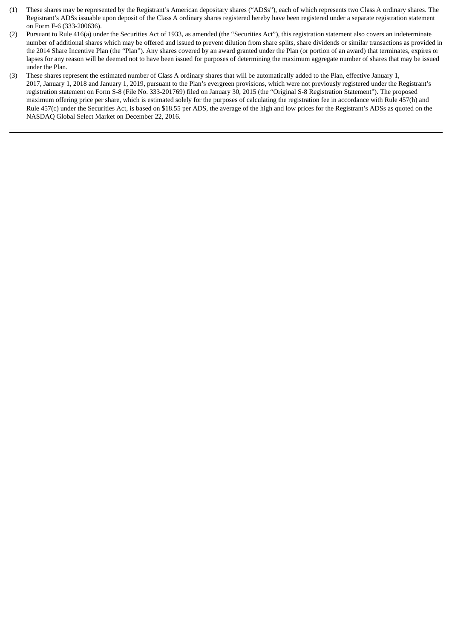- (1) These shares may be represented by the Registrant's American depositary shares ("ADSs"), each of which represents two Class A ordinary shares. The Registrant's ADSs issuable upon deposit of the Class A ordinary shares registered hereby have been registered under a separate registration statement on Form F-6 (333-200636).
- (2) Pursuant to Rule 416(a) under the Securities Act of 1933, as amended (the "Securities Act"), this registration statement also covers an indeterminate number of additional shares which may be offered and issued to prevent dilution from share splits, share dividends or similar transactions as provided in the 2014 Share Incentive Plan (the "Plan"). Any shares covered by an award granted under the Plan (or portion of an award) that terminates, expires or lapses for any reason will be deemed not to have been issued for purposes of determining the maximum aggregate number of shares that may be issued under the Plan.
- (3) These shares represent the estimated number of Class A ordinary shares that will be automatically added to the Plan, effective January 1, 2017, January 1, 2018 and January 1, 2019, pursuant to the Plan's evergreen provisions, which were not previously registered under the Registrant's registration statement on Form S-8 (File No. 333-201769) filed on January 30, 2015 (the "Original S-8 Registration Statement"). The proposed maximum offering price per share, which is estimated solely for the purposes of calculating the registration fee in accordance with Rule 457(h) and Rule 457(c) under the Securities Act, is based on \$18.55 per ADS, the average of the high and low prices for the Registrant's ADSs as quoted on the NASDAQ Global Select Market on December 22, 2016.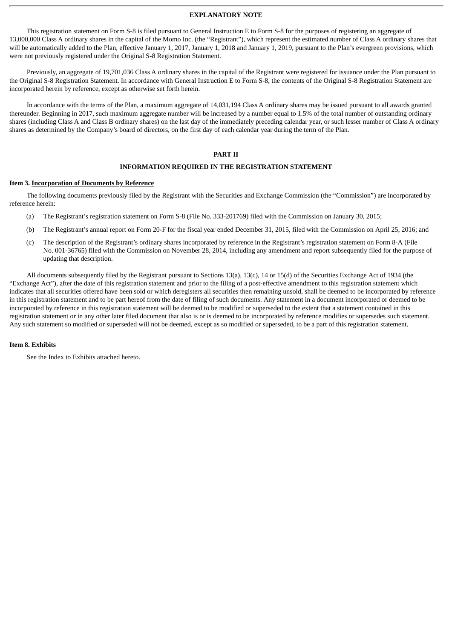#### **EXPLANATORY NOTE**

This registration statement on Form S-8 is filed pursuant to General Instruction E to Form S-8 for the purposes of registering an aggregate of 13,000,000 Class A ordinary shares in the capital of the Momo Inc. (the "Registrant"), which represent the estimated number of Class A ordinary shares that will be automatically added to the Plan, effective January 1, 2017, January 1, 2018 and January 1, 2019, pursuant to the Plan's evergreen provisions, which were not previously registered under the Original S-8 Registration Statement.

Previously, an aggregate of 19,701,036 Class A ordinary shares in the capital of the Registrant were registered for issuance under the Plan pursuant to the Original S-8 Registration Statement. In accordance with General Instruction E to Form S-8, the contents of the Original S-8 Registration Statement are incorporated herein by reference, except as otherwise set forth herein.

In accordance with the terms of the Plan, a maximum aggregate of 14,031,194 Class A ordinary shares may be issued pursuant to all awards granted thereunder. Beginning in 2017, such maximum aggregate number will be increased by a number equal to 1.5% of the total number of outstanding ordinary shares (including Class A and Class B ordinary shares) on the last day of the immediately preceding calendar year, or such lesser number of Class A ordinary shares as determined by the Company's board of directors, on the first day of each calendar year during the term of the Plan.

#### **PART II**

#### **INFORMATION REQUIRED IN THE REGISTRATION STATEMENT**

#### **Item 3. Incorporation of Documents by Reference**

The following documents previously filed by the Registrant with the Securities and Exchange Commission (the "Commission") are incorporated by reference herein:

- (a) The Registrant's registration statement on Form S-8 (File No. 333-201769) filed with the Commission on January 30, 2015;
- (b) The Registrant's annual report on Form 20-F for the fiscal year ended December 31, 2015, filed with the Commission on April 25, 2016; and
- (c) The description of the Registrant's ordinary shares incorporated by reference in the Registrant's registration statement on Form 8-A (File No. 001-36765) filed with the Commission on November 28, 2014, including any amendment and report subsequently filed for the purpose of updating that description.

All documents subsequently filed by the Registrant pursuant to Sections 13(a), 13(c), 14 or 15(d) of the Securities Exchange Act of 1934 (the "Exchange Act"), after the date of this registration statement and prior to the filing of a post-effective amendment to this registration statement which indicates that all securities offered have been sold or which deregisters all securities then remaining unsold, shall be deemed to be incorporated by reference in this registration statement and to be part hereof from the date of filing of such documents. Any statement in a document incorporated or deemed to be incorporated by reference in this registration statement will be deemed to be modified or superseded to the extent that a statement contained in this registration statement or in any other later filed document that also is or is deemed to be incorporated by reference modifies or supersedes such statement. Any such statement so modified or superseded will not be deemed, except as so modified or superseded, to be a part of this registration statement.

#### **Item 8. Exhibits**

See the Index to Exhibits attached hereto.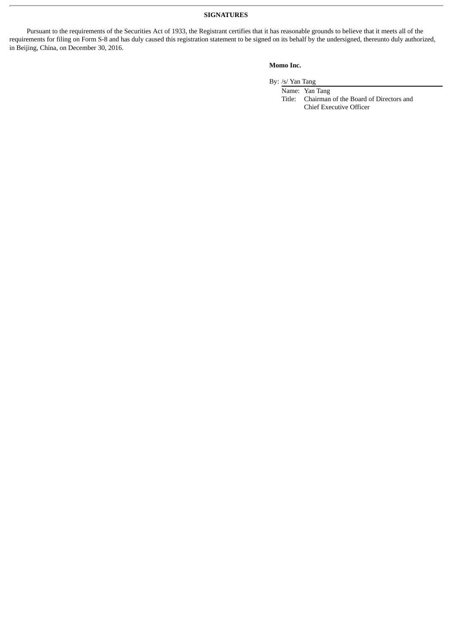## **SIGNATURES**

Pursuant to the requirements of the Securities Act of 1933, the Registrant certifies that it has reasonable grounds to believe that it meets all of the requirements for filing on Form S-8 and has duly caused this registration statement to be signed on its behalf by the undersigned, thereunto duly authorized, in Beijing, China, on December 30, 2016.

## **Momo Inc.**

By: /s/ Yan Tang

Name: Yan Tang Title: Chairman of the Board of Directors and Chief Executive Officer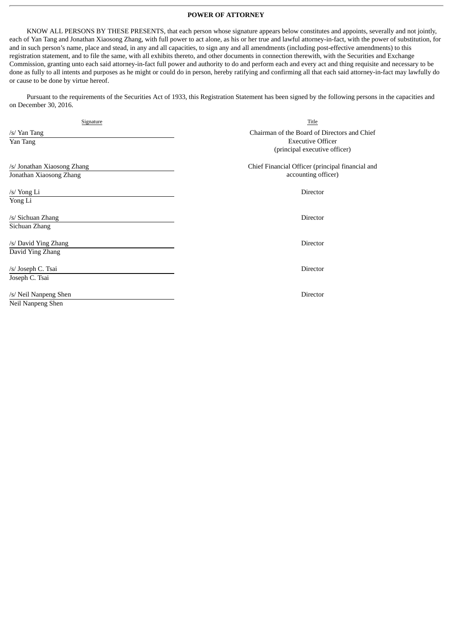#### **POWER OF ATTORNEY**

KNOW ALL PERSONS BY THESE PRESENTS, that each person whose signature appears below constitutes and appoints, severally and not jointly, each of Yan Tang and Jonathan Xiaosong Zhang, with full power to act alone, as his or her true and lawful attorney-in-fact, with the power of substitution, for and in such person's name, place and stead, in any and all capacities, to sign any and all amendments (including post-effective amendments) to this registration statement, and to file the same, with all exhibits thereto, and other documents in connection therewith, with the Securities and Exchange Commission, granting unto each said attorney-in-fact full power and authority to do and perform each and every act and thing requisite and necessary to be done as fully to all intents and purposes as he might or could do in person, hereby ratifying and confirming all that each said attorney-in-fact may lawfully do or cause to be done by virtue hereof.

Pursuant to the requirements of the Securities Act of 1933, this Registration Statement has been signed by the following persons in the capacities and on December 30, 2016.

| Signature                                              | Title                                                                                                     |
|--------------------------------------------------------|-----------------------------------------------------------------------------------------------------------|
| /s/ Yan Tang<br>Yan Tang                               | Chairman of the Board of Directors and Chief<br><b>Executive Officer</b><br>(principal executive officer) |
| /s/ Jonathan Xiaosong Zhang<br>Jonathan Xiaosong Zhang | Chief Financial Officer (principal financial and<br>accounting officer)                                   |
| /s/ Yong Li<br>Yong Li                                 | Director                                                                                                  |
| /s/ Sichuan Zhang<br>Sichuan Zhang                     | Director                                                                                                  |
| /s/ David Ying Zhang<br>David Ying Zhang               | Director                                                                                                  |
| /s/ Joseph C. Tsai<br>Joseph C. Tsai                   | Director                                                                                                  |
| /s/ Neil Nanpeng Shen<br>Neil Nanpeng Shen             | Director                                                                                                  |
|                                                        |                                                                                                           |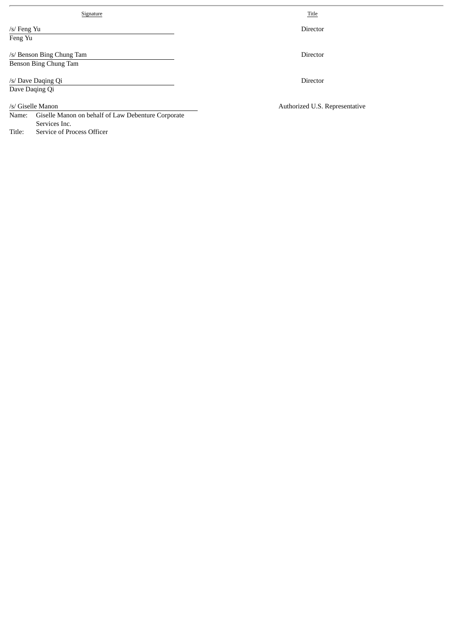| Signature                                                                                         | Title                          |
|---------------------------------------------------------------------------------------------------|--------------------------------|
| /s/ Feng Yu<br>Feng Yu                                                                            | <b>Director</b>                |
| /s/ Benson Bing Chung Tam<br>Benson Bing Chung Tam                                                | <b>Director</b>                |
| /s/ Dave Daqing Qi<br>Dave Daging Qi                                                              | <b>Director</b>                |
| /s/ Giselle Manon<br>Giselle Manon on behalf of Law Debenture Corporate<br>Name:<br>Services Inc. | Authorized U.S. Representative |

Title: Service of Process Officer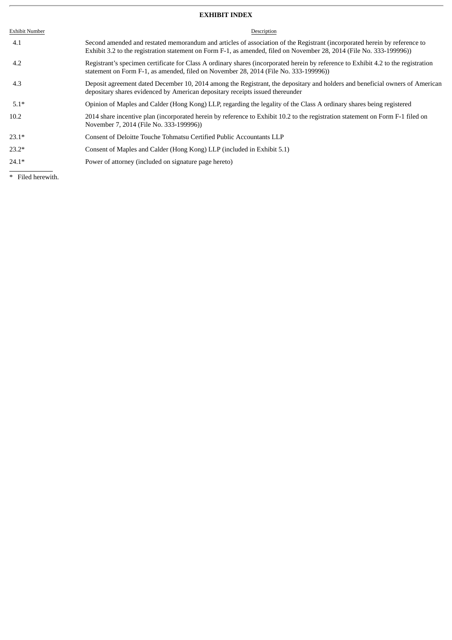# **EXHIBIT INDEX**

| <b>Exhibit Number</b> | Description                                                                                                                                                                                                                                       |
|-----------------------|---------------------------------------------------------------------------------------------------------------------------------------------------------------------------------------------------------------------------------------------------|
| 4.1                   | Second amended and restated memorandum and articles of association of the Registrant (incorporated herein by reference to<br>Exhibit 3.2 to the registration statement on Form F-1, as amended, filed on November 28, 2014 (File No. 333-199996)) |
| 4.2                   | Registrant's specimen certificate for Class A ordinary shares (incorporated herein by reference to Exhibit 4.2 to the registration<br>statement on Form F-1, as amended, filed on November 28, 2014 (File No. 333-199996))                        |
| 4.3                   | Deposit agreement dated December 10, 2014 among the Registrant, the depositary and holders and beneficial owners of American<br>depositary shares evidenced by American depositary receipts issued thereunder                                     |
| $5.1*$                | Opinion of Maples and Calder (Hong Kong) LLP, regarding the legality of the Class A ordinary shares being registered                                                                                                                              |
| 10.2                  | 2014 share incentive plan (incorporated herein by reference to Exhibit 10.2 to the registration statement on Form F-1 filed on<br>November 7, 2014 (File No. 333-199996))                                                                         |
| $23.1*$               | Consent of Deloitte Touche Tohmatsu Certified Public Accountants LLP                                                                                                                                                                              |
| $23.2*$               | Consent of Maples and Calder (Hong Kong) LLP (included in Exhibit 5.1)                                                                                                                                                                            |
| $24.1*$               | Power of attorney (included on signature page hereto)                                                                                                                                                                                             |
|                       |                                                                                                                                                                                                                                                   |

\* Filed herewith.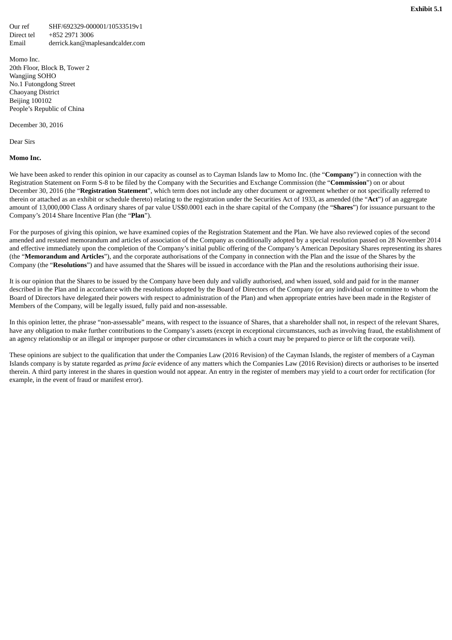Our ref SHF/692329-000001/10533519v1 Direct tel +852 2971 3006 Email derrick.kan@maplesandcalder.com

Momo Inc. 20th Floor, Block B, Tower 2 Wangjing SOHO No.1 Futongdong Street Chaoyang District Beijing 100102 People's Republic of China

December 30, 2016

Dear Sirs

#### **Momo Inc.**

We have been asked to render this opinion in our capacity as counsel as to Cayman Islands law to Momo Inc. (the "**Company**") in connection with the Registration Statement on Form S-8 to be filed by the Company with the Securities and Exchange Commission (the "**Commission**") on or about December 30, 2016 (the "**Registration Statement**", which term does not include any other document or agreement whether or not specifically referred to therein or attached as an exhibit or schedule thereto) relating to the registration under the Securities Act of 1933, as amended (the "**Act**") of an aggregate amount of 13,000,000 Class A ordinary shares of par value US\$0.0001 each in the share capital of the Company (the "**Shares**") for issuance pursuant to the Company's 2014 Share Incentive Plan (the "**Plan**").

For the purposes of giving this opinion, we have examined copies of the Registration Statement and the Plan. We have also reviewed copies of the second amended and restated memorandum and articles of association of the Company as conditionally adopted by a special resolution passed on 28 November 2014 and effective immediately upon the completion of the Company's initial public offering of the Company's American Depositary Shares representing its shares (the "**Memorandum and Articles**"), and the corporate authorisations of the Company in connection with the Plan and the issue of the Shares by the Company (the "**Resolutions**") and have assumed that the Shares will be issued in accordance with the Plan and the resolutions authorising their issue.

It is our opinion that the Shares to be issued by the Company have been duly and validly authorised, and when issued, sold and paid for in the manner described in the Plan and in accordance with the resolutions adopted by the Board of Directors of the Company (or any individual or committee to whom the Board of Directors have delegated their powers with respect to administration of the Plan) and when appropriate entries have been made in the Register of Members of the Company, will be legally issued, fully paid and non-assessable.

In this opinion letter, the phrase "non-assessable" means, with respect to the issuance of Shares, that a shareholder shall not, in respect of the relevant Shares, have any obligation to make further contributions to the Company's assets (except in exceptional circumstances, such as involving fraud, the establishment of an agency relationship or an illegal or improper purpose or other circumstances in which a court may be prepared to pierce or lift the corporate veil).

These opinions are subject to the qualification that under the Companies Law (2016 Revision) of the Cayman Islands, the register of members of a Cayman Islands company is by statute regarded as *prima facie* evidence of any matters which the Companies Law (2016 Revision) directs or authorises to be inserted therein. A third party interest in the shares in question would not appear. An entry in the register of members may yield to a court order for rectification (for example, in the event of fraud or manifest error).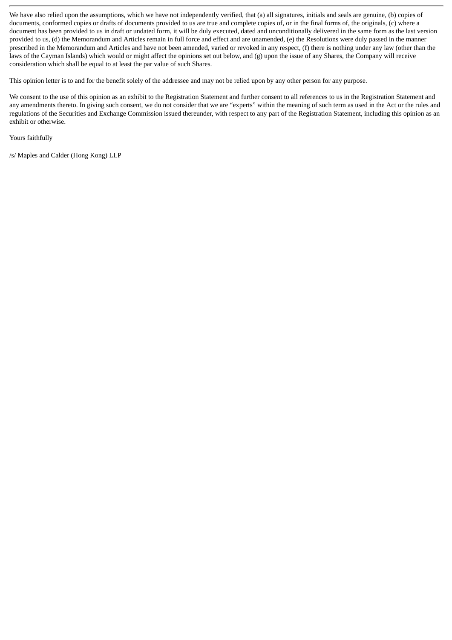We have also relied upon the assumptions, which we have not independently verified, that (a) all signatures, initials and seals are genuine, (b) copies of documents, conformed copies or drafts of documents provided to us are true and complete copies of, or in the final forms of, the originals, (c) where a document has been provided to us in draft or undated form, it will be duly executed, dated and unconditionally delivered in the same form as the last version provided to us, (d) the Memorandum and Articles remain in full force and effect and are unamended, (e) the Resolutions were duly passed in the manner prescribed in the Memorandum and Articles and have not been amended, varied or revoked in any respect, (f) there is nothing under any law (other than the laws of the Cayman Islands) which would or might affect the opinions set out below, and (g) upon the issue of any Shares, the Company will receive consideration which shall be equal to at least the par value of such Shares.

This opinion letter is to and for the benefit solely of the addressee and may not be relied upon by any other person for any purpose.

We consent to the use of this opinion as an exhibit to the Registration Statement and further consent to all references to us in the Registration Statement and any amendments thereto. In giving such consent, we do not consider that we are "experts" within the meaning of such term as used in the Act or the rules and regulations of the Securities and Exchange Commission issued thereunder, with respect to any part of the Registration Statement, including this opinion as an exhibit or otherwise.

Yours faithfully

/s/ Maples and Calder (Hong Kong) LLP